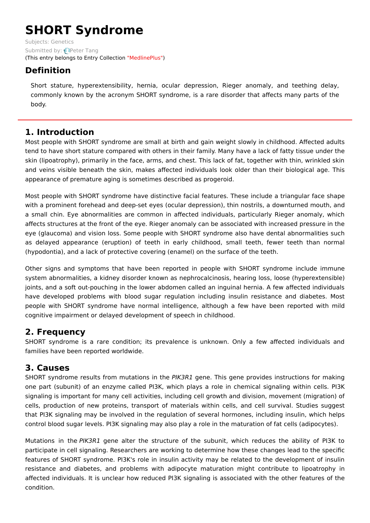# **SHORT Syndrome**

Subjects: [Genetics](https://encyclopedia.pub/item/subject/56) Submitted by: [Peter](https://sciprofiles.com/profile/1093914) Tang (This entry belongs to Entry Collection ["MedlinePlus"](https://encyclopedia.pub/entry/collection/24))

## **Definition**

Short stature, hyperextensibility, hernia, ocular depression, Rieger anomaly, and teething delay, commonly known by the acronym SHORT syndrome, is a rare disorder that affects many parts of the body.

### **1. Introduction**

Most people with SHORT syndrome are small at birth and gain weight slowly in childhood. Affected adults tend to have short stature compared with others in their family. Many have a lack of fatty tissue under the skin (lipoatrophy), primarily in the face, arms, and chest. This lack of fat, together with thin, wrinkled skin and veins visible beneath the skin, makes affected individuals look older than their biological age. This appearance of premature aging is sometimes described as progeroid.

Most people with SHORT syndrome have distinctive facial features. These include a triangular face shape with a prominent forehead and deep-set eyes (ocular depression), thin nostrils, a downturned mouth, and a small chin. Eye abnormalities are common in affected individuals, particularly Rieger anomaly, which affects structures at the front of the eye. Rieger anomaly can be associated with increased pressure in the eye (glaucoma) and vision loss. Some people with SHORT syndrome also have dental abnormalities such as delayed appearance (eruption) of teeth in early childhood, small teeth, fewer teeth than normal (hypodontia), and a lack of protective covering (enamel) on the surface of the teeth.

Other signs and symptoms that have been reported in people with SHORT syndrome include immune system abnormalities, a kidney disorder known as nephrocalcinosis, hearing loss, loose (hyperextensible) joints, and a soft out-pouching in the lower abdomen called an inguinal hernia. A few affected individuals have developed problems with blood sugar regulation including insulin resistance and diabetes. Most people with SHORT syndrome have normal intelligence, although a few have been reported with mild cognitive impairment or delayed development of speech in childhood.

### **2. Frequency**

SHORT syndrome is a rare condition; its prevalence is unknown. Only a few affected individuals and families have been reported worldwide.

### **3. Causes**

SHORT syndrome results from mutations in the PIK3R1 gene. This gene provides instructions for making one part (subunit) of an enzyme called PI3K, which plays a role in chemical signaling within cells. PI3K signaling is important for many cell activities, including cell growth and division, movement (migration) of cells, production of new proteins, transport of materials within cells, and cell survival. Studies suggest that PI3K signaling may be involved in the regulation of several hormones, including insulin, which helps control blood sugar levels. PI3K signaling may also play a role in the maturation of fat cells (adipocytes).

Mutations in the PIK3R1 gene alter the structure of the subunit, which reduces the ability of PI3K to participate in cell signaling. Researchers are working to determine how these changes lead to the specific features of SHORT syndrome. PI3K's role in insulin activity may be related to the development of insulin resistance and diabetes, and problems with adipocyte maturation might contribute to lipoatrophy in affected individuals. It is unclear how reduced PI3K signaling is associated with the other features of the condition.